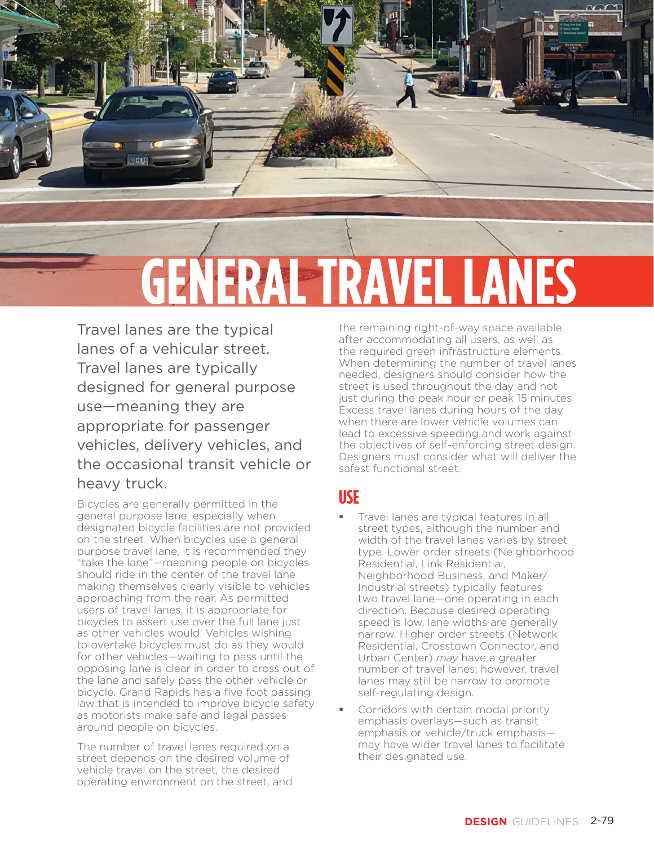

Travel lanes are the typical lanes of a vehicular street. Travel lanes are typically designed for general purpose use—meaning they are appropriate for passenger vehicles, delivery vehicles, and the occasional transit vehicle or heavy truck.

Bicycles are generally permitted in the general purpose lane, especially when designated bicycle facilities are not provided on the street. When bicycles use a general purpose travel lane, it is recommended they "take the lane"—meaning people on bicycles should ride in the center of the travel lane making themselves clearly visible to vehicles approaching from the rear. As permitted users of travel lanes, it is appropriate for bicycles to assert use over the full lane just as other vehicles would. Vehicles wishing to overtake bicycles must do as they would for other vehicles—waiting to pass until the opposing lane is clear in order to cross out of the lane and safely pass the other vehicle or bicycle. Grand Rapids has a five foot passing law that is intended to improve bicycle safety as motorists make safe and legal passes around people on bicycles.

The number of travel lanes required on a street depends on the desired volume of vehicle travel on the street, the desired operating environment on the street, and the remaining right-of-way space available after accommodating all users, as well as the required green infrastructure elements. When determining the number of travel lanes needed, designers should consider how the street is used throughout the day and not just during the peak hour or peak 15 minutes. Excess travel lanes during hours of the day when there are lower vehicle volumes can lead to excessive speeding and work against the objectives of self-enforcing street design. Designers must consider what will deliver the safest functional street.

## **USE**

- Travel lanes are typical features in all street types, although the number and width of the travel lanes varies by street type. Lower order streets (Neighborhood Residential, Link Residential, Neighborhood Business, and Maker/ Industrial streets) typically features two travel lane—one operating in each direction. Because desired operating speed is low, lane widths are generally narrow. Higher order streets (Network Residential, Crosstown Connector, and Urban Center) *may* have a greater number of travel lanes; however, travel lanes may still be narrow to promote self-regulating design.
- Corridors with certain modal priority emphasis overlays—such as transit emphasis or vehicle/truck emphasis may have wider travel lanes to facilitate their designated use.